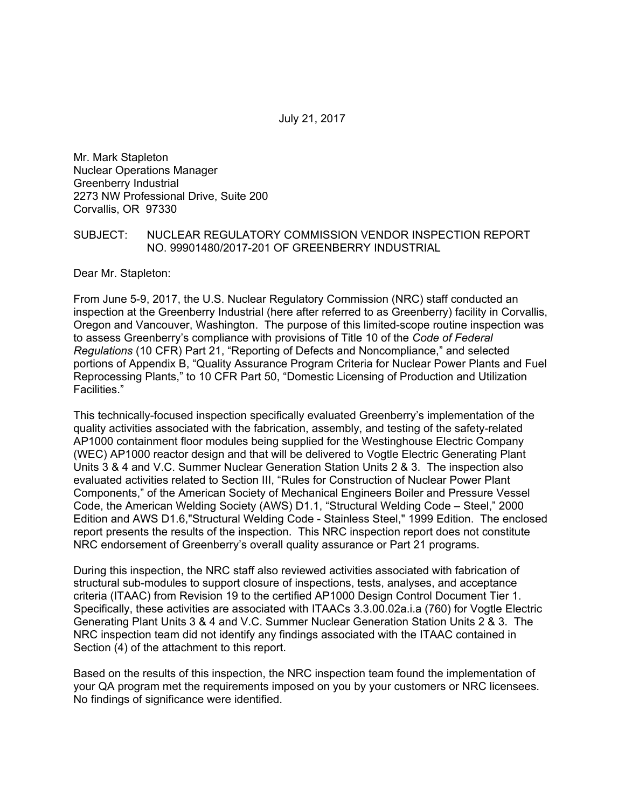July 21, 2017

Mr. Mark Stapleton Nuclear Operations Manager Greenberry Industrial 2273 NW Professional Drive, Suite 200 Corvallis, OR 97330

#### SUBJECT: NUCLEAR REGULATORY COMMISSION VENDOR INSPECTION REPORT NO. 99901480/2017-201 OF GREENBERRY INDUSTRIAL

Dear Mr. Stapleton:

From June 5-9, 2017, the U.S. Nuclear Regulatory Commission (NRC) staff conducted an inspection at the Greenberry Industrial (here after referred to as Greenberry) facility in Corvallis, Oregon and Vancouver, Washington. The purpose of this limited-scope routine inspection was to assess Greenberry's compliance with provisions of Title 10 of the *Code of Federal Regulations* (10 CFR) Part 21, "Reporting of Defects and Noncompliance," and selected portions of Appendix B, "Quality Assurance Program Criteria for Nuclear Power Plants and Fuel Reprocessing Plants," to 10 CFR Part 50, "Domestic Licensing of Production and Utilization Facilities."

This technically-focused inspection specifically evaluated Greenberry's implementation of the quality activities associated with the fabrication, assembly, and testing of the safety-related AP1000 containment floor modules being supplied for the Westinghouse Electric Company (WEC) AP1000 reactor design and that will be delivered to Vogtle Electric Generating Plant Units 3 & 4 and V.C. Summer Nuclear Generation Station Units 2 & 3. The inspection also evaluated activities related to Section III, "Rules for Construction of Nuclear Power Plant Components," of the American Society of Mechanical Engineers Boiler and Pressure Vessel Code, the American Welding Society (AWS) D1.1, "Structural Welding Code – Steel," 2000 Edition and AWS D1.6,"Structural Welding Code - Stainless Steel," 1999 Edition. The enclosed report presents the results of the inspection. This NRC inspection report does not constitute NRC endorsement of Greenberry's overall quality assurance or Part 21 programs.

During this inspection, the NRC staff also reviewed activities associated with fabrication of structural sub-modules to support closure of inspections, tests, analyses, and acceptance criteria (ITAAC) from Revision 19 to the certified AP1000 Design Control Document Tier 1. Specifically, these activities are associated with ITAACs 3.3.00.02a.i.a (760) for Vogtle Electric Generating Plant Units 3 & 4 and V.C. Summer Nuclear Generation Station Units 2 & 3. The NRC inspection team did not identify any findings associated with the ITAAC contained in Section (4) of the attachment to this report.

Based on the results of this inspection, the NRC inspection team found the implementation of your QA program met the requirements imposed on you by your customers or NRC licensees. No findings of significance were identified.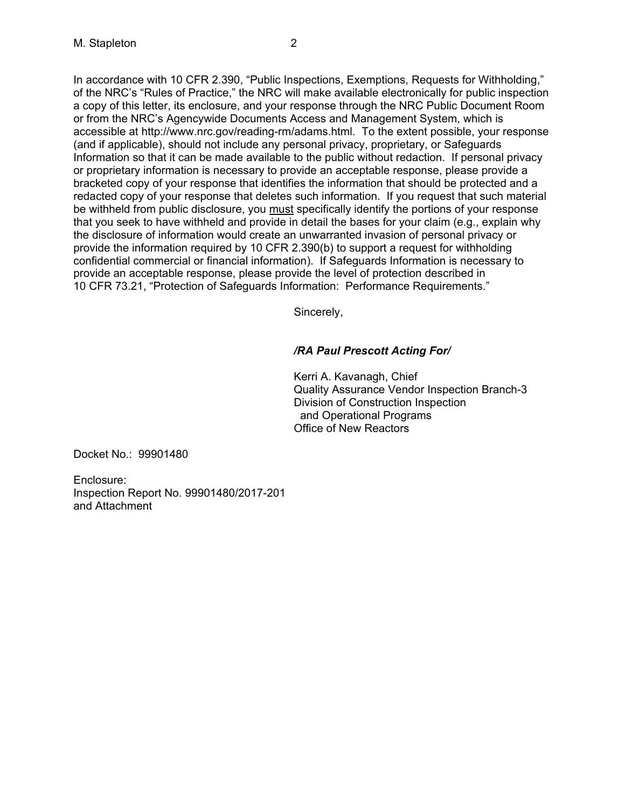In accordance with 10 CFR 2.390, "Public Inspections, Exemptions, Requests for Withholding," of the NRC's "Rules of Practice," the NRC will make available electronically for public inspection a copy of this letter, its enclosure, and your response through the NRC Public Document Room or from the NRC's Agencywide Documents Access and Management System, which is accessible at http://www.nrc.gov/reading-rm/adams.html. To the extent possible, your response (and if applicable), should not include any personal privacy, proprietary, or Safeguards Information so that it can be made available to the public without redaction. If personal privacy or proprietary information is necessary to provide an acceptable response, please provide a bracketed copy of your response that identifies the information that should be protected and a redacted copy of your response that deletes such information. If you request that such material be withheld from public disclosure, you must specifically identify the portions of your response that you seek to have withheld and provide in detail the bases for your claim (e.g., explain why the disclosure of information would create an unwarranted invasion of personal privacy or provide the information required by 10 CFR 2.390(b) to support a request for withholding confidential commercial or financial information). If Safeguards Information is necessary to provide an acceptable response, please provide the level of protection described in 10 CFR 73.21, "Protection of Safeguards Information: Performance Requirements."

Sincerely,

# */RA Paul Prescott Acting For/*

Kerri A. Kavanagh, Chief Quality Assurance Vendor Inspection Branch-3 Division of Construction Inspection and Operational Programs Office of New Reactors

Docket No.: 99901480

Enclosure: Inspection Report No. 99901480/2017-201 and Attachment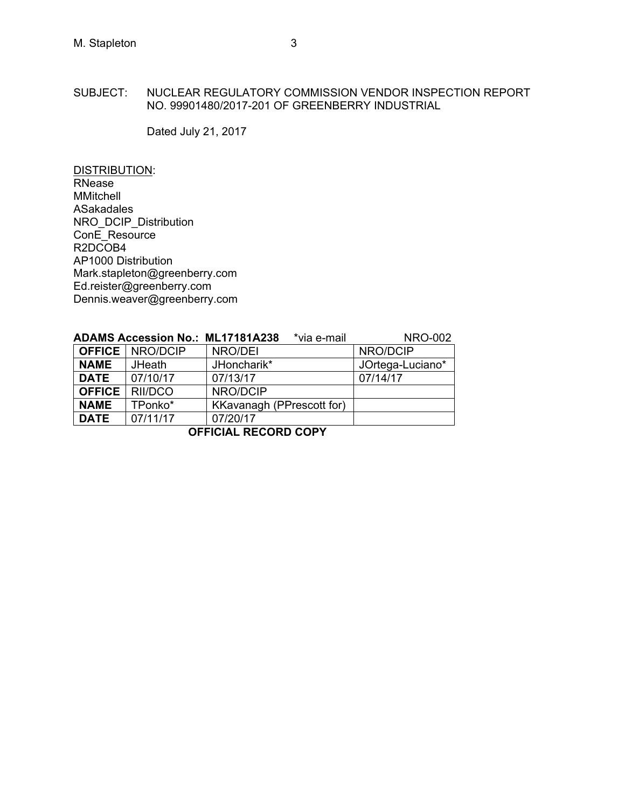## SUBJECT: NUCLEAR REGULATORY COMMISSION VENDOR INSPECTION REPORT NO. 99901480/2017-201 OF GREENBERRY INDUSTRIAL

Dated July 21, 2017

DISTRIBUTION: RNease MMitchell ASakadales NRO\_DCIP\_Distribution ConE\_Resource R2DCOB4 AP1000 Distribution Mark.stapleton@greenberry.com Ed.reister@greenberry.com Dennis.weaver@greenberry.com

|             | <b>ADAMS Accession No.: ML17181A238</b> | *via e-mail               | <b>NRO-002</b>   |
|-------------|-----------------------------------------|---------------------------|------------------|
|             | <b>OFFICE</b> NRO/DCIP                  | NRO/DEI                   | NRO/DCIP         |
| <b>NAME</b> | JHeath                                  | JHoncharik*               | JOrtega-Luciano* |
| <b>DATE</b> | 07/10/17                                | 07/13/17                  | 07/14/17         |
|             | <b>OFFICE</b> RII/DCO                   | NRO/DCIP                  |                  |
| <b>NAME</b> | TPonko*                                 | KKavanagh (PPrescott for) |                  |
| <b>DATE</b> | 07/11/17                                | 07/20/17                  |                  |

**OFFICIAL RECORD COPY**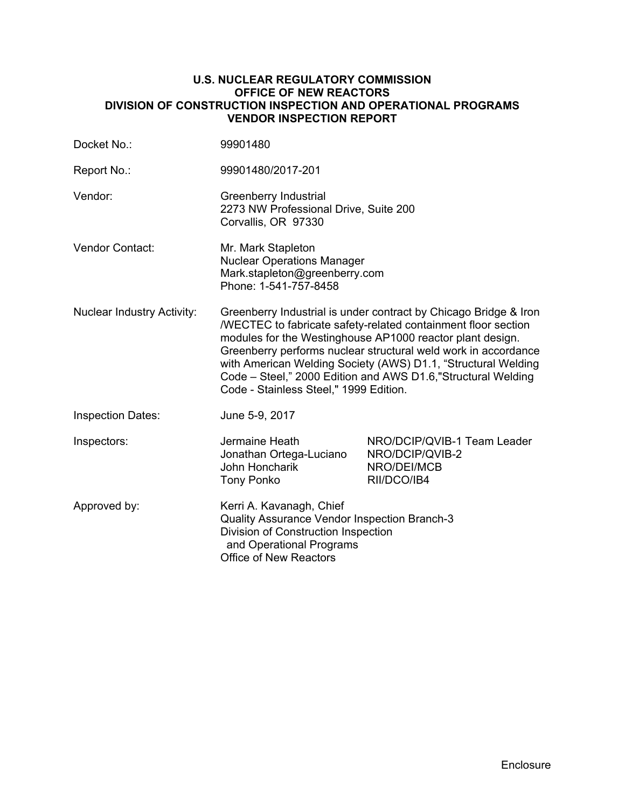### **U.S. NUCLEAR REGULATORY COMMISSION OFFICE OF NEW REACTORS DIVISION OF CONSTRUCTION INSPECTION AND OPERATIONAL PROGRAMS VENDOR INSPECTION REPORT**

| Docket No.:                       | 99901480                                                                                                                                                                                                                                                                                                                                                                                                                                     |                                                                              |  |
|-----------------------------------|----------------------------------------------------------------------------------------------------------------------------------------------------------------------------------------------------------------------------------------------------------------------------------------------------------------------------------------------------------------------------------------------------------------------------------------------|------------------------------------------------------------------------------|--|
| Report No.:                       | 99901480/2017-201                                                                                                                                                                                                                                                                                                                                                                                                                            |                                                                              |  |
| Vendor:                           | Greenberry Industrial<br>2273 NW Professional Drive, Suite 200<br>Corvallis, OR 97330                                                                                                                                                                                                                                                                                                                                                        |                                                                              |  |
| Vendor Contact:                   | Mr. Mark Stapleton<br><b>Nuclear Operations Manager</b><br>Mark.stapleton@greenberry.com<br>Phone: 1-541-757-8458                                                                                                                                                                                                                                                                                                                            |                                                                              |  |
| <b>Nuclear Industry Activity:</b> | Greenberry Industrial is under contract by Chicago Bridge & Iron<br>/WECTEC to fabricate safety-related containment floor section<br>modules for the Westinghouse AP1000 reactor plant design.<br>Greenberry performs nuclear structural weld work in accordance<br>with American Welding Society (AWS) D1.1, "Structural Welding<br>Code - Steel," 2000 Edition and AWS D1.6, "Structural Welding<br>Code - Stainless Steel," 1999 Edition. |                                                                              |  |
| <b>Inspection Dates:</b>          | June 5-9, 2017                                                                                                                                                                                                                                                                                                                                                                                                                               |                                                                              |  |
| Inspectors:                       | Jermaine Heath<br>Jonathan Ortega-Luciano<br>John Honcharik<br><b>Tony Ponko</b>                                                                                                                                                                                                                                                                                                                                                             | NRO/DCIP/QVIB-1 Team Leader<br>NRO/DCIP/QVIB-2<br>NRO/DEI/MCB<br>RII/DCO/IB4 |  |
| Approved by:                      | Kerri A. Kavanagh, Chief<br>Quality Assurance Vendor Inspection Branch-3<br>Division of Construction Inspection<br>and Operational Programs<br><b>Office of New Reactors</b>                                                                                                                                                                                                                                                                 |                                                                              |  |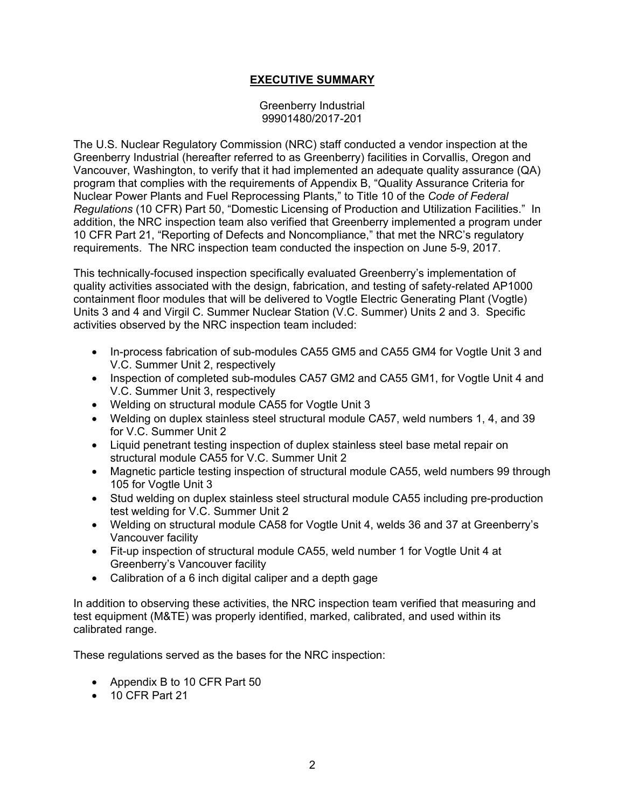# **EXECUTIVE SUMMARY**

#### Greenberry Industrial 99901480/2017-201

The U.S. Nuclear Regulatory Commission (NRC) staff conducted a vendor inspection at the Greenberry Industrial (hereafter referred to as Greenberry) facilities in Corvallis, Oregon and Vancouver, Washington, to verify that it had implemented an adequate quality assurance (QA) program that complies with the requirements of Appendix B, "Quality Assurance Criteria for Nuclear Power Plants and Fuel Reprocessing Plants," to Title 10 of the *Code of Federal Regulations* (10 CFR) Part 50, "Domestic Licensing of Production and Utilization Facilities." In addition, the NRC inspection team also verified that Greenberry implemented a program under 10 CFR Part 21, "Reporting of Defects and Noncompliance," that met the NRC's regulatory requirements. The NRC inspection team conducted the inspection on June 5-9, 2017.

This technically-focused inspection specifically evaluated Greenberry's implementation of quality activities associated with the design, fabrication, and testing of safety-related AP1000 containment floor modules that will be delivered to Vogtle Electric Generating Plant (Vogtle) Units 3 and 4 and Virgil C. Summer Nuclear Station (V.C. Summer) Units 2 and 3. Specific activities observed by the NRC inspection team included:

- In-process fabrication of sub-modules CA55 GM5 and CA55 GM4 for Vogtle Unit 3 and V.C. Summer Unit 2, respectively
- Inspection of completed sub-modules CA57 GM2 and CA55 GM1, for Vogtle Unit 4 and V.C. Summer Unit 3, respectively
- Welding on structural module CA55 for Vogtle Unit 3
- Welding on duplex stainless steel structural module CA57, weld numbers 1, 4, and 39 for V.C. Summer Unit 2
- Liquid penetrant testing inspection of duplex stainless steel base metal repair on structural module CA55 for V.C. Summer Unit 2
- Magnetic particle testing inspection of structural module CA55, weld numbers 99 through 105 for Vogtle Unit 3
- Stud welding on duplex stainless steel structural module CA55 including pre-production test welding for V.C. Summer Unit 2
- Welding on structural module CA58 for Vogtle Unit 4, welds 36 and 37 at Greenberry's Vancouver facility
- Fit-up inspection of structural module CA55, weld number 1 for Vogtle Unit 4 at Greenberry's Vancouver facility
- Calibration of a 6 inch digital caliper and a depth gage

In addition to observing these activities, the NRC inspection team verified that measuring and test equipment (M&TE) was properly identified, marked, calibrated, and used within its calibrated range.

These regulations served as the bases for the NRC inspection:

- Appendix B to 10 CFR Part 50
- 10 CFR Part 21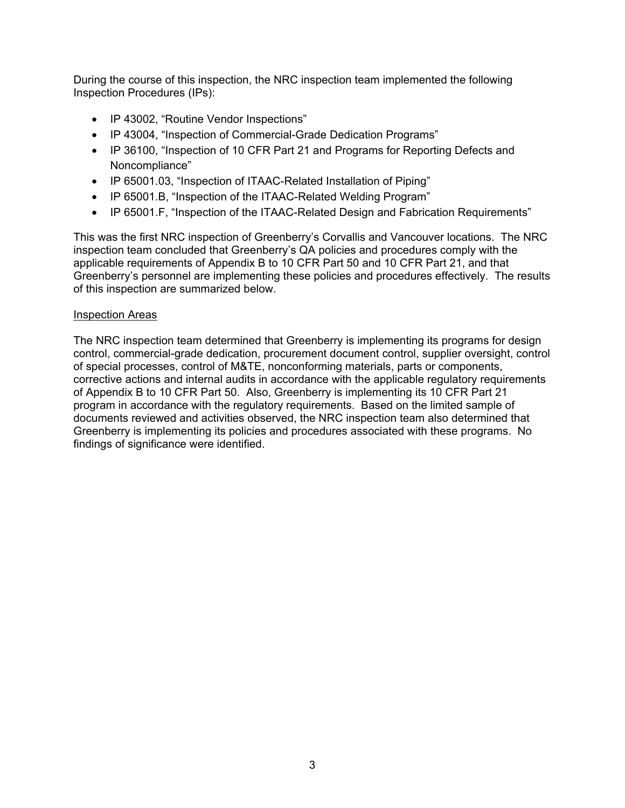During the course of this inspection, the NRC inspection team implemented the following Inspection Procedures (IPs):

- IP 43002, "Routine Vendor Inspections"
- IP 43004, "Inspection of Commercial-Grade Dedication Programs"
- IP 36100, "Inspection of 10 CFR Part 21 and Programs for Reporting Defects and Noncompliance"
- IP 65001.03, "Inspection of ITAAC-Related Installation of Piping"
- IP 65001.B, "Inspection of the ITAAC-Related Welding Program"
- IP 65001.F, "Inspection of the ITAAC-Related Design and Fabrication Requirements"

This was the first NRC inspection of Greenberry's Corvallis and Vancouver locations. The NRC inspection team concluded that Greenberry's QA policies and procedures comply with the applicable requirements of Appendix B to 10 CFR Part 50 and 10 CFR Part 21, and that Greenberry's personnel are implementing these policies and procedures effectively. The results of this inspection are summarized below.

## Inspection Areas

The NRC inspection team determined that Greenberry is implementing its programs for design control, commercial-grade dedication, procurement document control, supplier oversight, control of special processes, control of M&TE, nonconforming materials, parts or components, corrective actions and internal audits in accordance with the applicable regulatory requirements of Appendix B to 10 CFR Part 50. Also, Greenberry is implementing its 10 CFR Part 21 program in accordance with the regulatory requirements. Based on the limited sample of documents reviewed and activities observed, the NRC inspection team also determined that Greenberry is implementing its policies and procedures associated with these programs. No findings of significance were identified.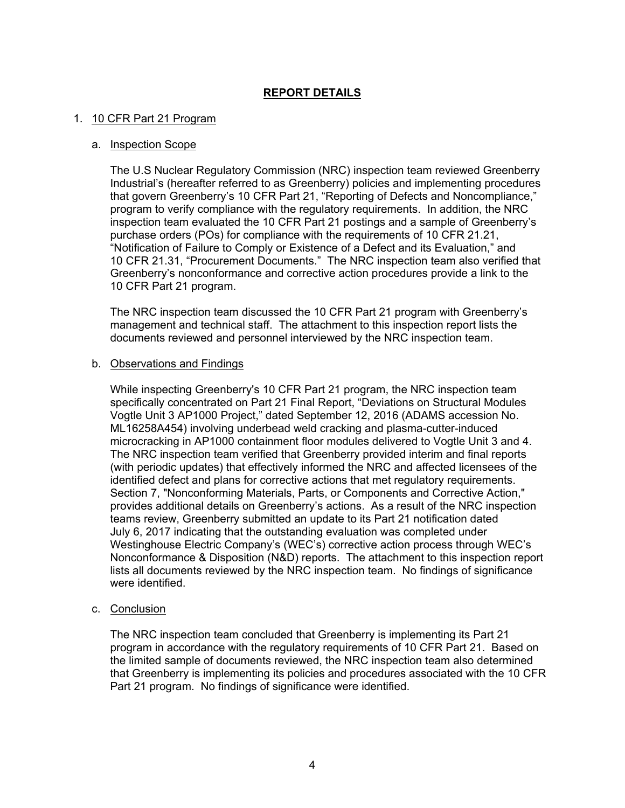# **REPORT DETAILS**

#### 1. 10 CFR Part 21 Program

#### a. Inspection Scope

The U.S Nuclear Regulatory Commission (NRC) inspection team reviewed Greenberry Industrial's (hereafter referred to as Greenberry) policies and implementing procedures that govern Greenberry's 10 CFR Part 21, "Reporting of Defects and Noncompliance," program to verify compliance with the regulatory requirements. In addition, the NRC inspection team evaluated the 10 CFR Part 21 postings and a sample of Greenberry's purchase orders (POs) for compliance with the requirements of 10 CFR 21.21, "Notification of Failure to Comply or Existence of a Defect and its Evaluation," and 10 CFR 21.31, "Procurement Documents." The NRC inspection team also verified that Greenberry's nonconformance and corrective action procedures provide a link to the 10 CFR Part 21 program.

The NRC inspection team discussed the 10 CFR Part 21 program with Greenberry's management and technical staff. The attachment to this inspection report lists the documents reviewed and personnel interviewed by the NRC inspection team.

#### b. Observations and Findings

While inspecting Greenberry's 10 CFR Part 21 program, the NRC inspection team specifically concentrated on Part 21 Final Report, "Deviations on Structural Modules Vogtle Unit 3 AP1000 Project," dated September 12, 2016 (ADAMS accession No. ML16258A454) involving underbead weld cracking and plasma-cutter-induced microcracking in AP1000 containment floor modules delivered to Vogtle Unit 3 and 4. The NRC inspection team verified that Greenberry provided interim and final reports (with periodic updates) that effectively informed the NRC and affected licensees of the identified defect and plans for corrective actions that met regulatory requirements. Section 7, "Nonconforming Materials, Parts, or Components and Corrective Action," provides additional details on Greenberry's actions. As a result of the NRC inspection teams review, Greenberry submitted an update to its Part 21 notification dated July 6, 2017 indicating that the outstanding evaluation was completed under Westinghouse Electric Company's (WEC's) corrective action process through WEC's Nonconformance & Disposition (N&D) reports. The attachment to this inspection report lists all documents reviewed by the NRC inspection team. No findings of significance were identified.

c. Conclusion

The NRC inspection team concluded that Greenberry is implementing its Part 21 program in accordance with the regulatory requirements of 10 CFR Part 21. Based on the limited sample of documents reviewed, the NRC inspection team also determined that Greenberry is implementing its policies and procedures associated with the 10 CFR Part 21 program. No findings of significance were identified.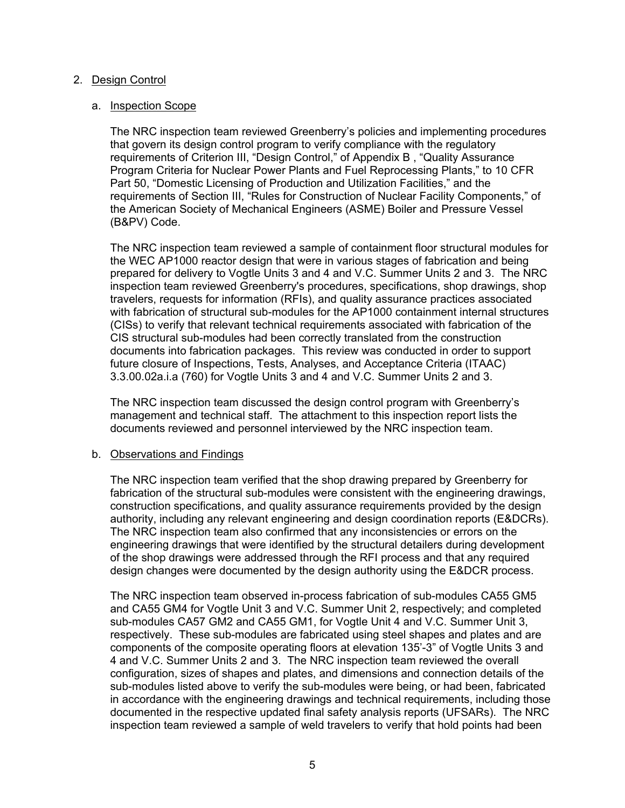### 2. Design Control

#### a. Inspection Scope

The NRC inspection team reviewed Greenberry's policies and implementing procedures that govern its design control program to verify compliance with the regulatory requirements of Criterion III, "Design Control," of Appendix B , "Quality Assurance Program Criteria for Nuclear Power Plants and Fuel Reprocessing Plants," to 10 CFR Part 50, "Domestic Licensing of Production and Utilization Facilities," and the requirements of Section III, "Rules for Construction of Nuclear Facility Components," of the American Society of Mechanical Engineers (ASME) Boiler and Pressure Vessel (B&PV) Code.

The NRC inspection team reviewed a sample of containment floor structural modules for the WEC AP1000 reactor design that were in various stages of fabrication and being prepared for delivery to Vogtle Units 3 and 4 and V.C. Summer Units 2 and 3. The NRC inspection team reviewed Greenberry's procedures, specifications, shop drawings, shop travelers, requests for information (RFIs), and quality assurance practices associated with fabrication of structural sub-modules for the AP1000 containment internal structures (CISs) to verify that relevant technical requirements associated with fabrication of the CIS structural sub-modules had been correctly translated from the construction documents into fabrication packages. This review was conducted in order to support future closure of Inspections, Tests, Analyses, and Acceptance Criteria (ITAAC) 3.3.00.02a.i.a (760) for Vogtle Units 3 and 4 and V.C. Summer Units 2 and 3.

The NRC inspection team discussed the design control program with Greenberry's management and technical staff. The attachment to this inspection report lists the documents reviewed and personnel interviewed by the NRC inspection team.

#### b. Observations and Findings

The NRC inspection team verified that the shop drawing prepared by Greenberry for fabrication of the structural sub-modules were consistent with the engineering drawings, construction specifications, and quality assurance requirements provided by the design authority, including any relevant engineering and design coordination reports (E&DCRs). The NRC inspection team also confirmed that any inconsistencies or errors on the engineering drawings that were identified by the structural detailers during development of the shop drawings were addressed through the RFI process and that any required design changes were documented by the design authority using the E&DCR process.

The NRC inspection team observed in-process fabrication of sub-modules CA55 GM5 and CA55 GM4 for Vogtle Unit 3 and V.C. Summer Unit 2, respectively; and completed sub-modules CA57 GM2 and CA55 GM1, for Vogtle Unit 4 and V.C. Summer Unit 3, respectively. These sub-modules are fabricated using steel shapes and plates and are components of the composite operating floors at elevation 135'-3" of Vogtle Units 3 and 4 and V.C. Summer Units 2 and 3. The NRC inspection team reviewed the overall configuration, sizes of shapes and plates, and dimensions and connection details of the sub-modules listed above to verify the sub-modules were being, or had been, fabricated in accordance with the engineering drawings and technical requirements, including those documented in the respective updated final safety analysis reports (UFSARs). The NRC inspection team reviewed a sample of weld travelers to verify that hold points had been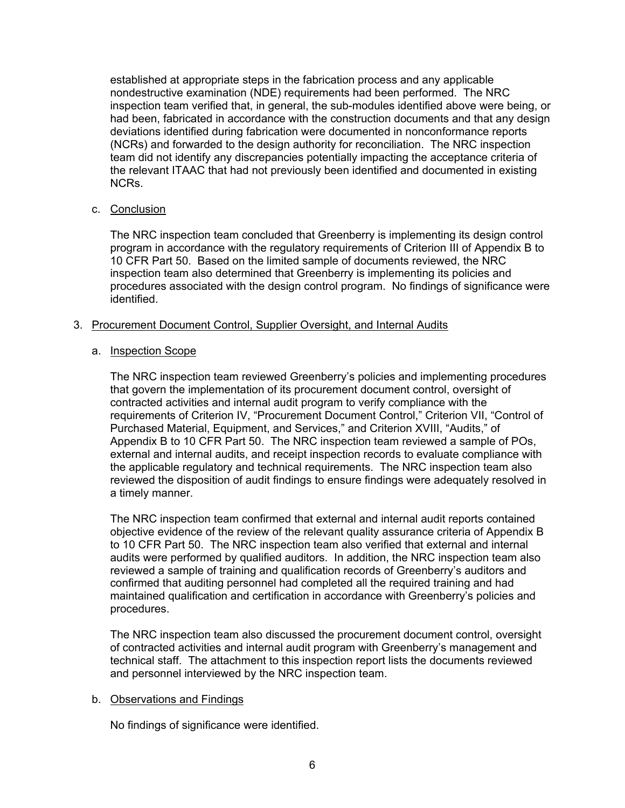established at appropriate steps in the fabrication process and any applicable nondestructive examination (NDE) requirements had been performed. The NRC inspection team verified that, in general, the sub-modules identified above were being, or had been, fabricated in accordance with the construction documents and that any design deviations identified during fabrication were documented in nonconformance reports (NCRs) and forwarded to the design authority for reconciliation. The NRC inspection team did not identify any discrepancies potentially impacting the acceptance criteria of the relevant ITAAC that had not previously been identified and documented in existing NCRs.

## c. Conclusion

The NRC inspection team concluded that Greenberry is implementing its design control program in accordance with the regulatory requirements of Criterion III of Appendix B to 10 CFR Part 50. Based on the limited sample of documents reviewed, the NRC inspection team also determined that Greenberry is implementing its policies and procedures associated with the design control program. No findings of significance were identified.

## 3. Procurement Document Control, Supplier Oversight, and Internal Audits

## a. Inspection Scope

The NRC inspection team reviewed Greenberry's policies and implementing procedures that govern the implementation of its procurement document control, oversight of contracted activities and internal audit program to verify compliance with the requirements of Criterion IV, "Procurement Document Control," Criterion VII, "Control of Purchased Material, Equipment, and Services," and Criterion XVIII, "Audits," of Appendix B to 10 CFR Part 50. The NRC inspection team reviewed a sample of POs, external and internal audits, and receipt inspection records to evaluate compliance with the applicable regulatory and technical requirements. The NRC inspection team also reviewed the disposition of audit findings to ensure findings were adequately resolved in a timely manner.

The NRC inspection team confirmed that external and internal audit reports contained objective evidence of the review of the relevant quality assurance criteria of Appendix B to 10 CFR Part 50. The NRC inspection team also verified that external and internal audits were performed by qualified auditors. In addition, the NRC inspection team also reviewed a sample of training and qualification records of Greenberry's auditors and confirmed that auditing personnel had completed all the required training and had maintained qualification and certification in accordance with Greenberry's policies and procedures.

The NRC inspection team also discussed the procurement document control, oversight of contracted activities and internal audit program with Greenberry's management and technical staff. The attachment to this inspection report lists the documents reviewed and personnel interviewed by the NRC inspection team.

#### b. Observations and Findings

No findings of significance were identified.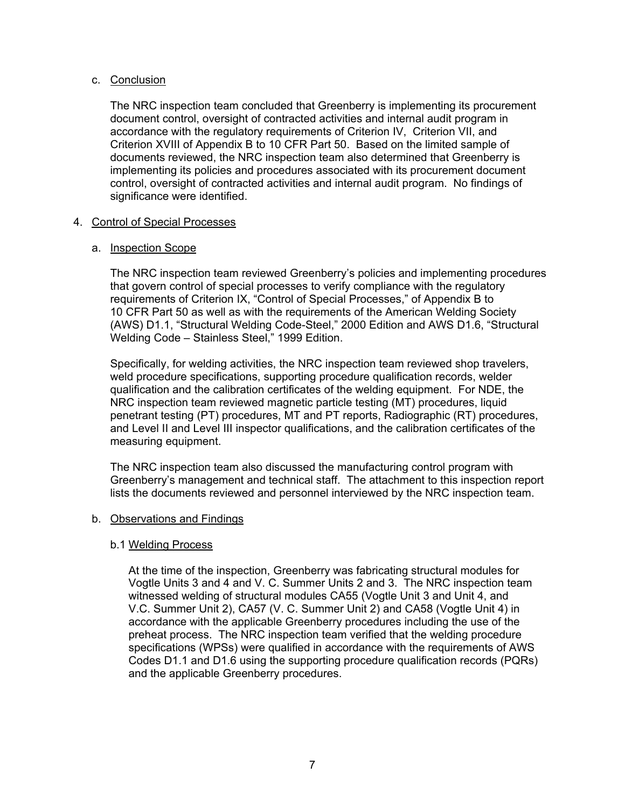## c. Conclusion

The NRC inspection team concluded that Greenberry is implementing its procurement document control, oversight of contracted activities and internal audit program in accordance with the regulatory requirements of Criterion IV, Criterion VII, and Criterion XVIII of Appendix B to 10 CFR Part 50. Based on the limited sample of documents reviewed, the NRC inspection team also determined that Greenberry is implementing its policies and procedures associated with its procurement document control, oversight of contracted activities and internal audit program. No findings of significance were identified.

## 4. Control of Special Processes

## a. Inspection Scope

The NRC inspection team reviewed Greenberry's policies and implementing procedures that govern control of special processes to verify compliance with the regulatory requirements of Criterion IX, "Control of Special Processes," of Appendix B to 10 CFR Part 50 as well as with the requirements of the American Welding Society (AWS) D1.1, "Structural Welding Code-Steel," 2000 Edition and AWS D1.6, "Structural Welding Code – Stainless Steel," 1999 Edition.

Specifically, for welding activities, the NRC inspection team reviewed shop travelers, weld procedure specifications, supporting procedure qualification records, welder qualification and the calibration certificates of the welding equipment. For NDE, the NRC inspection team reviewed magnetic particle testing (MT) procedures, liquid penetrant testing (PT) procedures, MT and PT reports, Radiographic (RT) procedures, and Level II and Level III inspector qualifications, and the calibration certificates of the measuring equipment.

The NRC inspection team also discussed the manufacturing control program with Greenberry's management and technical staff. The attachment to this inspection report lists the documents reviewed and personnel interviewed by the NRC inspection team.

#### b. Observations and Findings

## b.1 Welding Process

At the time of the inspection, Greenberry was fabricating structural modules for Vogtle Units 3 and 4 and V. C. Summer Units 2 and 3. The NRC inspection team witnessed welding of structural modules CA55 (Vogtle Unit 3 and Unit 4, and V.C. Summer Unit 2), CA57 (V. C. Summer Unit 2) and CA58 (Vogtle Unit 4) in accordance with the applicable Greenberry procedures including the use of the preheat process. The NRC inspection team verified that the welding procedure specifications (WPSs) were qualified in accordance with the requirements of AWS Codes D1.1 and D1.6 using the supporting procedure qualification records (PQRs) and the applicable Greenberry procedures.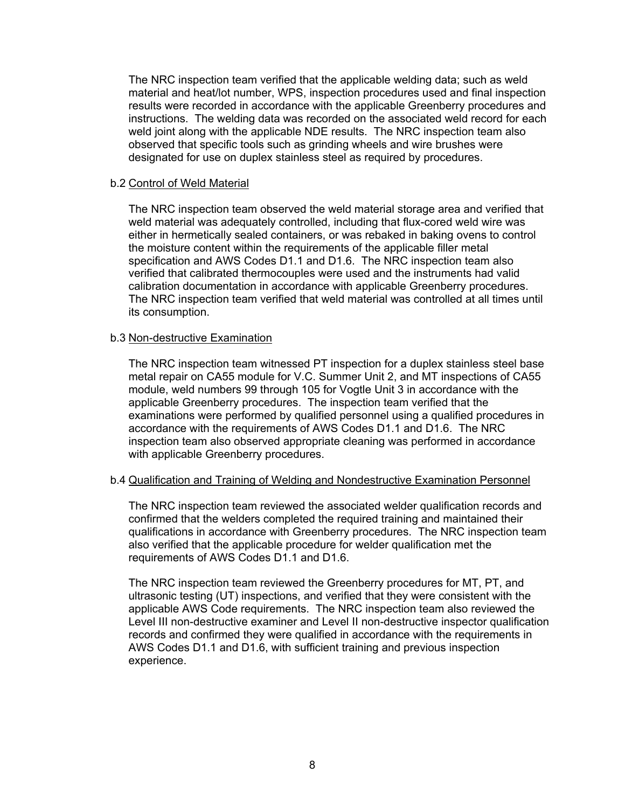The NRC inspection team verified that the applicable welding data; such as weld material and heat/lot number, WPS, inspection procedures used and final inspection results were recorded in accordance with the applicable Greenberry procedures and instructions. The welding data was recorded on the associated weld record for each weld joint along with the applicable NDE results. The NRC inspection team also observed that specific tools such as grinding wheels and wire brushes were designated for use on duplex stainless steel as required by procedures.

#### b.2 Control of Weld Material

The NRC inspection team observed the weld material storage area and verified that weld material was adequately controlled, including that flux-cored weld wire was either in hermetically sealed containers, or was rebaked in baking ovens to control the moisture content within the requirements of the applicable filler metal specification and AWS Codes D1.1 and D1.6. The NRC inspection team also verified that calibrated thermocouples were used and the instruments had valid calibration documentation in accordance with applicable Greenberry procedures. The NRC inspection team verified that weld material was controlled at all times until its consumption.

#### b.3 Non-destructive Examination

The NRC inspection team witnessed PT inspection for a duplex stainless steel base metal repair on CA55 module for V.C. Summer Unit 2, and MT inspections of CA55 module, weld numbers 99 through 105 for Vogtle Unit 3 in accordance with the applicable Greenberry procedures. The inspection team verified that the examinations were performed by qualified personnel using a qualified procedures in accordance with the requirements of AWS Codes D1.1 and D1.6. The NRC inspection team also observed appropriate cleaning was performed in accordance with applicable Greenberry procedures.

#### b.4 Qualification and Training of Welding and Nondestructive Examination Personnel

The NRC inspection team reviewed the associated welder qualification records and confirmed that the welders completed the required training and maintained their qualifications in accordance with Greenberry procedures. The NRC inspection team also verified that the applicable procedure for welder qualification met the requirements of AWS Codes D1.1 and D1.6.

The NRC inspection team reviewed the Greenberry procedures for MT, PT, and ultrasonic testing (UT) inspections, and verified that they were consistent with the applicable AWS Code requirements. The NRC inspection team also reviewed the Level III non-destructive examiner and Level II non-destructive inspector qualification records and confirmed they were qualified in accordance with the requirements in AWS Codes D1.1 and D1.6, with sufficient training and previous inspection experience.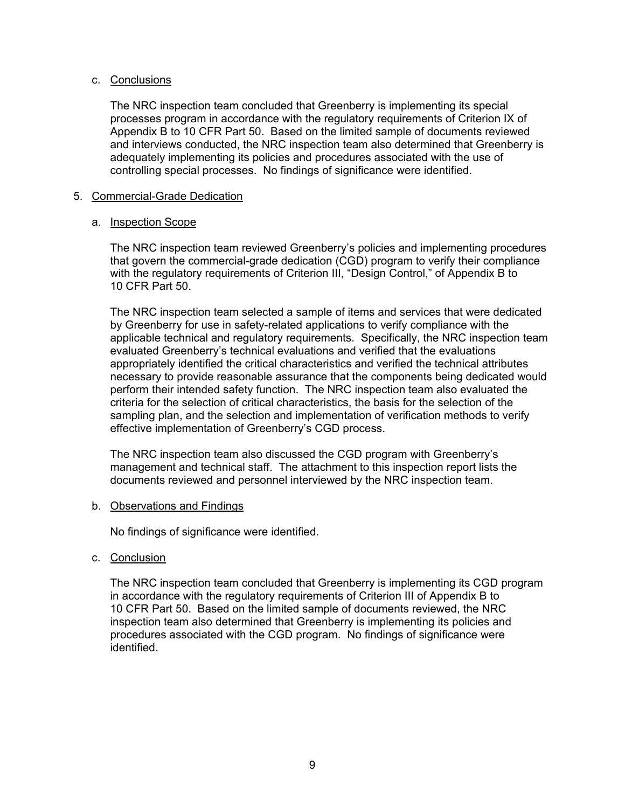## c. Conclusions

The NRC inspection team concluded that Greenberry is implementing its special processes program in accordance with the regulatory requirements of Criterion IX of Appendix B to 10 CFR Part 50. Based on the limited sample of documents reviewed and interviews conducted, the NRC inspection team also determined that Greenberry is adequately implementing its policies and procedures associated with the use of controlling special processes. No findings of significance were identified.

#### 5. Commercial-Grade Dedication

## a. Inspection Scope

The NRC inspection team reviewed Greenberry's policies and implementing procedures that govern the commercial-grade dedication (CGD) program to verify their compliance with the regulatory requirements of Criterion III, "Design Control," of Appendix B to 10 CFR Part 50.

The NRC inspection team selected a sample of items and services that were dedicated by Greenberry for use in safety-related applications to verify compliance with the applicable technical and regulatory requirements. Specifically, the NRC inspection team evaluated Greenberry's technical evaluations and verified that the evaluations appropriately identified the critical characteristics and verified the technical attributes necessary to provide reasonable assurance that the components being dedicated would perform their intended safety function. The NRC inspection team also evaluated the criteria for the selection of critical characteristics, the basis for the selection of the sampling plan, and the selection and implementation of verification methods to verify effective implementation of Greenberry's CGD process.

The NRC inspection team also discussed the CGD program with Greenberry's management and technical staff. The attachment to this inspection report lists the documents reviewed and personnel interviewed by the NRC inspection team.

#### b. Observations and Findings

No findings of significance were identified.

c. Conclusion

The NRC inspection team concluded that Greenberry is implementing its CGD program in accordance with the regulatory requirements of Criterion III of Appendix B to 10 CFR Part 50. Based on the limited sample of documents reviewed, the NRC inspection team also determined that Greenberry is implementing its policies and procedures associated with the CGD program. No findings of significance were identified.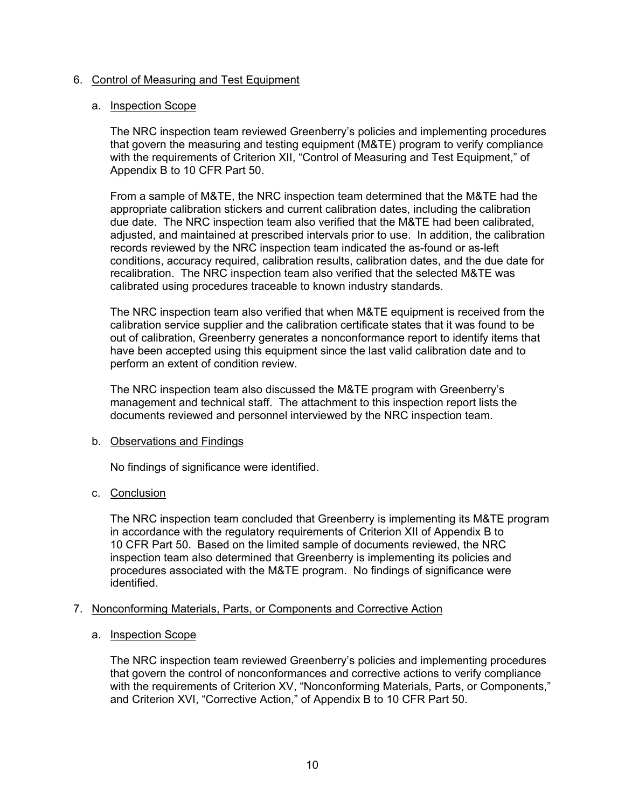## 6. Control of Measuring and Test Equipment

### a. Inspection Scope

The NRC inspection team reviewed Greenberry's policies and implementing procedures that govern the measuring and testing equipment (M&TE) program to verify compliance with the requirements of Criterion XII, "Control of Measuring and Test Equipment," of Appendix B to 10 CFR Part 50.

From a sample of M&TE, the NRC inspection team determined that the M&TE had the appropriate calibration stickers and current calibration dates, including the calibration due date. The NRC inspection team also verified that the M&TE had been calibrated, adjusted, and maintained at prescribed intervals prior to use. In addition, the calibration records reviewed by the NRC inspection team indicated the as-found or as-left conditions, accuracy required, calibration results, calibration dates, and the due date for recalibration. The NRC inspection team also verified that the selected M&TE was calibrated using procedures traceable to known industry standards.

The NRC inspection team also verified that when M&TE equipment is received from the calibration service supplier and the calibration certificate states that it was found to be out of calibration, Greenberry generates a nonconformance report to identify items that have been accepted using this equipment since the last valid calibration date and to perform an extent of condition review.

The NRC inspection team also discussed the M&TE program with Greenberry's management and technical staff. The attachment to this inspection report lists the documents reviewed and personnel interviewed by the NRC inspection team.

## b. Observations and Findings

No findings of significance were identified.

## c. Conclusion

The NRC inspection team concluded that Greenberry is implementing its M&TE program in accordance with the regulatory requirements of Criterion XII of Appendix B to 10 CFR Part 50. Based on the limited sample of documents reviewed, the NRC inspection team also determined that Greenberry is implementing its policies and procedures associated with the M&TE program. No findings of significance were identified.

## 7. Nonconforming Materials, Parts, or Components and Corrective Action

## a. Inspection Scope

The NRC inspection team reviewed Greenberry's policies and implementing procedures that govern the control of nonconformances and corrective actions to verify compliance with the requirements of Criterion XV, "Nonconforming Materials, Parts, or Components," and Criterion XVI, "Corrective Action," of Appendix B to 10 CFR Part 50.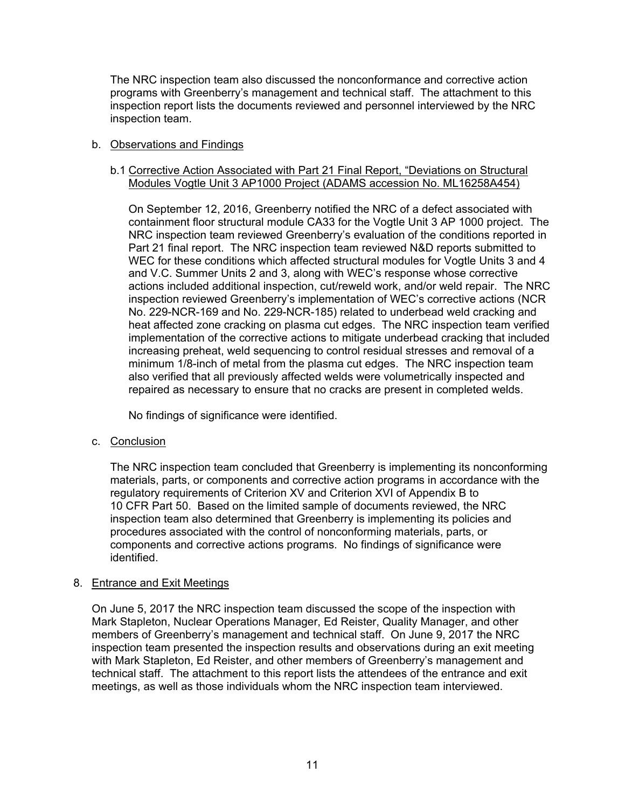The NRC inspection team also discussed the nonconformance and corrective action programs with Greenberry's management and technical staff. The attachment to this inspection report lists the documents reviewed and personnel interviewed by the NRC inspection team.

## b. Observations and Findings

## b.1 Corrective Action Associated with Part 21 Final Report, "Deviations on Structural Modules Vogtle Unit 3 AP1000 Project (ADAMS accession No. ML16258A454)

On September 12, 2016, Greenberry notified the NRC of a defect associated with containment floor structural module CA33 for the Vogtle Unit 3 AP 1000 project. The NRC inspection team reviewed Greenberry's evaluation of the conditions reported in Part 21 final report. The NRC inspection team reviewed N&D reports submitted to WEC for these conditions which affected structural modules for Vogtle Units 3 and 4 and V.C. Summer Units 2 and 3, along with WEC's response whose corrective actions included additional inspection, cut/reweld work, and/or weld repair. The NRC inspection reviewed Greenberry's implementation of WEC's corrective actions (NCR No. 229-NCR-169 and No. 229-NCR-185) related to underbead weld cracking and heat affected zone cracking on plasma cut edges. The NRC inspection team verified implementation of the corrective actions to mitigate underbead cracking that included increasing preheat, weld sequencing to control residual stresses and removal of a minimum 1/8-inch of metal from the plasma cut edges. The NRC inspection team also verified that all previously affected welds were volumetrically inspected and repaired as necessary to ensure that no cracks are present in completed welds.

No findings of significance were identified.

## c. Conclusion

The NRC inspection team concluded that Greenberry is implementing its nonconforming materials, parts, or components and corrective action programs in accordance with the regulatory requirements of Criterion XV and Criterion XVI of Appendix B to 10 CFR Part 50. Based on the limited sample of documents reviewed, the NRC inspection team also determined that Greenberry is implementing its policies and procedures associated with the control of nonconforming materials, parts, or components and corrective actions programs. No findings of significance were identified.

## 8. Entrance and Exit Meetings

On June 5, 2017 the NRC inspection team discussed the scope of the inspection with Mark Stapleton, Nuclear Operations Manager, Ed Reister, Quality Manager, and other members of Greenberry's management and technical staff. On June 9, 2017 the NRC inspection team presented the inspection results and observations during an exit meeting with Mark Stapleton, Ed Reister, and other members of Greenberry's management and technical staff. The attachment to this report lists the attendees of the entrance and exit meetings, as well as those individuals whom the NRC inspection team interviewed.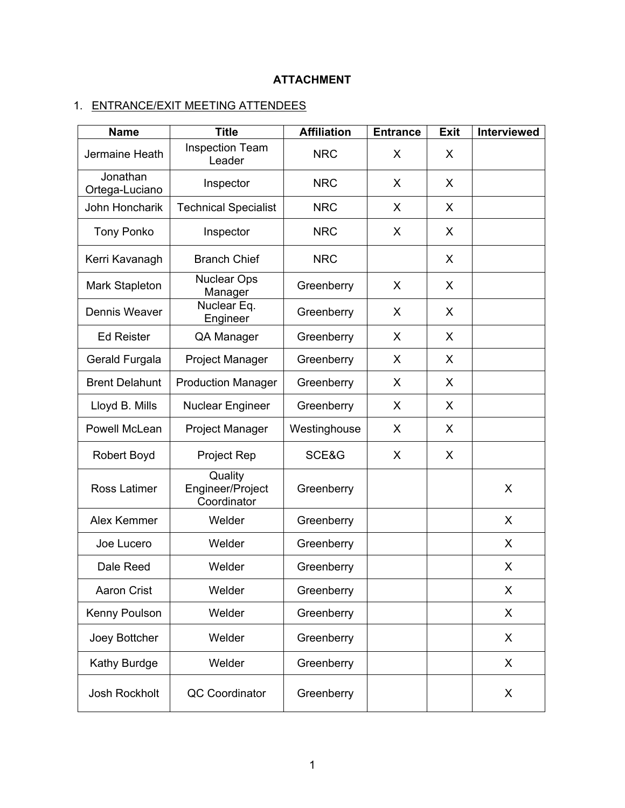# **ATTACHMENT**

# 1. ENTRANCE/EXIT MEETING ATTENDEES

| <b>Name</b>                | <b>Title</b>                               | <b>Affiliation</b> | <b>Entrance</b> | <b>Exit</b> | Interviewed |
|----------------------------|--------------------------------------------|--------------------|-----------------|-------------|-------------|
| Jermaine Heath             | <b>Inspection Team</b><br>Leader           | <b>NRC</b>         | X               | X           |             |
| Jonathan<br>Ortega-Luciano | Inspector                                  | <b>NRC</b>         | X               | X           |             |
| John Honcharik             | <b>Technical Specialist</b>                | <b>NRC</b>         | X               | X           |             |
| <b>Tony Ponko</b>          | Inspector                                  | <b>NRC</b>         | X               | X           |             |
| Kerri Kavanagh             | <b>Branch Chief</b>                        | <b>NRC</b>         |                 | X           |             |
| Mark Stapleton             | <b>Nuclear Ops</b><br>Manager              | Greenberry         | X               | X           |             |
| Dennis Weaver              | Nuclear Eq.<br>Engineer                    | Greenberry         | X               | X           |             |
| <b>Ed Reister</b>          | QA Manager                                 | Greenberry         | X               | X           |             |
| Gerald Furgala             | Project Manager                            | Greenberry         | X               | X           |             |
| <b>Brent Delahunt</b>      | <b>Production Manager</b>                  | Greenberry         | X               | X           |             |
| Lloyd B. Mills             | <b>Nuclear Engineer</b>                    | Greenberry         | X               | X           |             |
| Powell McLean              | <b>Project Manager</b>                     | Westinghouse       | X               | X           |             |
| Robert Boyd                | Project Rep                                | SCE&G              | X               | X           |             |
| Ross Latimer               | Quality<br>Engineer/Project<br>Coordinator | Greenberry         |                 |             | X           |
| Alex Kemmer                | Welder                                     | Greenberry         |                 |             | $\sf X$     |
| Joe Lucero                 | Welder                                     | Greenberry         |                 |             | X           |
| Dale Reed                  | Welder                                     | Greenberry         |                 |             | X           |
| <b>Aaron Crist</b>         | Welder                                     | Greenberry         |                 |             | X           |
| Kenny Poulson              | Welder                                     | Greenberry         |                 |             | X           |
| Joey Bottcher              | Welder                                     | Greenberry         |                 |             | X           |
| Kathy Burdge               | Welder                                     | Greenberry         |                 |             | X           |
| Josh Rockholt              | <b>QC Coordinator</b>                      | Greenberry         |                 |             | X           |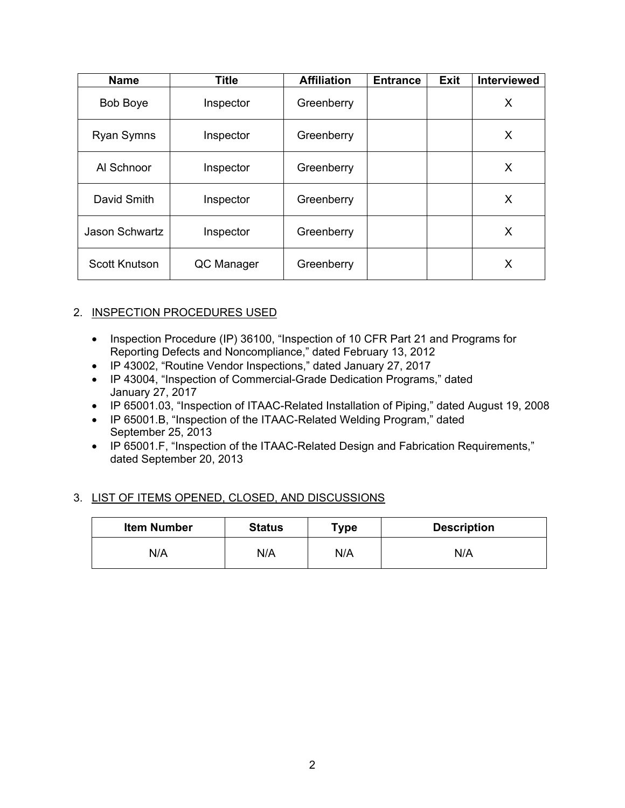| <b>Name</b>           | Title      | <b>Affiliation</b> | <b>Entrance</b> | <b>Exit</b> | <b>Interviewed</b> |
|-----------------------|------------|--------------------|-----------------|-------------|--------------------|
| <b>Bob Boye</b>       | Inspector  | Greenberry         |                 |             | X                  |
| Ryan Symns            | Inspector  | Greenberry         |                 |             | X                  |
| Al Schnoor            | Inspector  | Greenberry         |                 |             | Х                  |
| David Smith           | Inspector  | Greenberry         |                 |             | X                  |
| <b>Jason Schwartz</b> | Inspector  | Greenberry         |                 |             | X                  |
| Scott Knutson         | QC Manager | Greenberry         |                 |             | Х                  |

# 2. INSPECTION PROCEDURES USED

- Inspection Procedure (IP) 36100, "Inspection of 10 CFR Part 21 and Programs for Reporting Defects and Noncompliance," dated February 13, 2012
- IP 43002, "Routine Vendor Inspections," dated January 27, 2017
- IP 43004, "Inspection of Commercial-Grade Dedication Programs," dated January 27, 2017
- IP 65001.03, "Inspection of ITAAC-Related Installation of Piping," dated August 19, 2008
- IP 65001.B, "Inspection of the ITAAC-Related Welding Program," dated September 25, 2013
- IP 65001.F, "Inspection of the ITAAC-Related Design and Fabrication Requirements," dated September 20, 2013

# 3. LIST OF ITEMS OPENED, CLOSED, AND DISCUSSIONS

| <b>Item Number</b> | <b>Status</b> | Type | <b>Description</b> |  |
|--------------------|---------------|------|--------------------|--|
| N/A                | N/A           | N/A  | N/A                |  |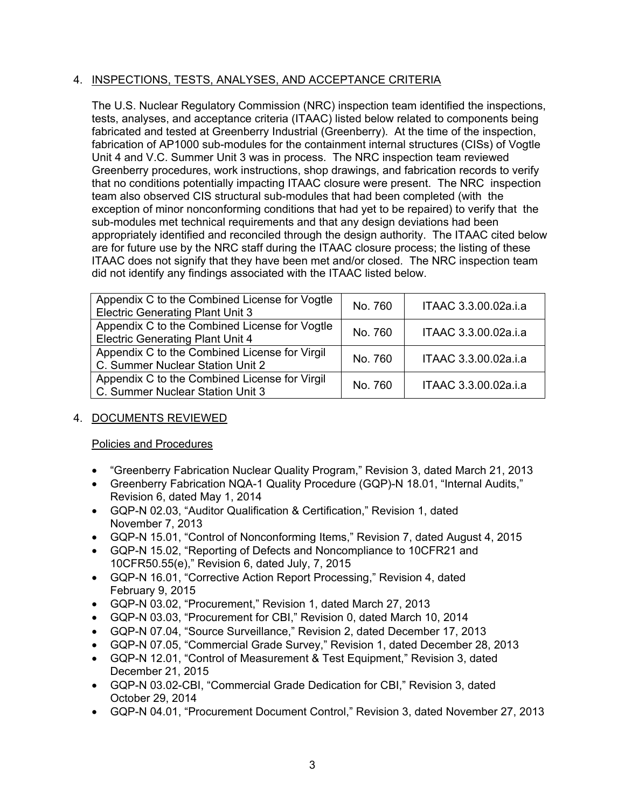# 4. INSPECTIONS, TESTS, ANALYSES, AND ACCEPTANCE CRITERIA

The U.S. Nuclear Regulatory Commission (NRC) inspection team identified the inspections, tests, analyses, and acceptance criteria (ITAAC) listed below related to components being fabricated and tested at Greenberry Industrial (Greenberry). At the time of the inspection, fabrication of AP1000 sub-modules for the containment internal structures (CISs) of Vogtle Unit 4 and V.C. Summer Unit 3 was in process. The NRC inspection team reviewed Greenberry procedures, work instructions, shop drawings, and fabrication records to verify that no conditions potentially impacting ITAAC closure were present. The NRC inspection team also observed CIS structural sub-modules that had been completed (with the exception of minor nonconforming conditions that had yet to be repaired) to verify that the sub-modules met technical requirements and that any design deviations had been appropriately identified and reconciled through the design authority. The ITAAC cited below are for future use by the NRC staff during the ITAAC closure process; the listing of these ITAAC does not signify that they have been met and/or closed. The NRC inspection team did not identify any findings associated with the ITAAC listed below.

| Appendix C to the Combined License for Vogtle<br><b>Electric Generating Plant Unit 3</b> | No. 760 | ITAAC 3.3.00.02a.i.a |
|------------------------------------------------------------------------------------------|---------|----------------------|
| Appendix C to the Combined License for Vogtle<br><b>Electric Generating Plant Unit 4</b> | No. 760 | ITAAC 3.3.00.02a.i.a |
| Appendix C to the Combined License for Virgil<br>C. Summer Nuclear Station Unit 2        | No. 760 | ITAAC 3.3.00.02a.i.a |
| Appendix C to the Combined License for Virgil<br>C. Summer Nuclear Station Unit 3        | No. 760 | ITAAC 3.3.00.02a.i.a |

# 4. DOCUMENTS REVIEWED

## Policies and Procedures

- "Greenberry Fabrication Nuclear Quality Program," Revision 3, dated March 21, 2013
- Greenberry Fabrication NQA-1 Quality Procedure (GQP)-N 18.01, "Internal Audits," Revision 6, dated May 1, 2014
- GQP-N 02.03, "Auditor Qualification & Certification," Revision 1, dated November 7, 2013
- GQP-N 15.01, "Control of Nonconforming Items," Revision 7, dated August 4, 2015
- GQP-N 15.02, "Reporting of Defects and Noncompliance to 10CFR21 and 10CFR50.55(e)," Revision 6, dated July, 7, 2015
- GQP-N 16.01, "Corrective Action Report Processing," Revision 4, dated February 9, 2015
- GQP-N 03.02, "Procurement," Revision 1, dated March 27, 2013
- GQP-N 03.03, "Procurement for CBI," Revision 0, dated March 10, 2014
- GQP-N 07.04, "Source Surveillance," Revision 2, dated December 17, 2013
- GQP-N 07.05, "Commercial Grade Survey," Revision 1, dated December 28, 2013
- GQP-N 12.01, "Control of Measurement & Test Equipment," Revision 3, dated December 21, 2015
- GQP-N 03.02-CBI, "Commercial Grade Dedication for CBI," Revision 3, dated October 29, 2014
- GQP-N 04.01, "Procurement Document Control," Revision 3, dated November 27, 2013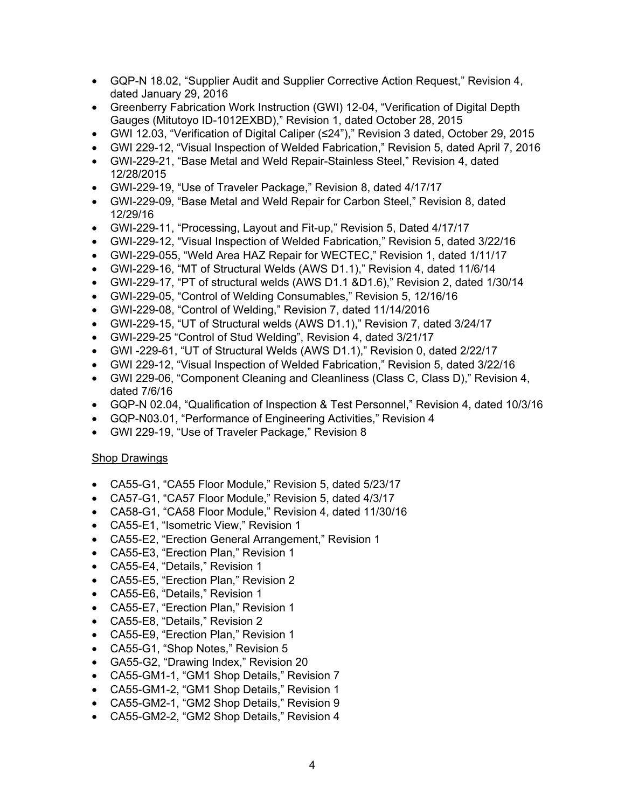- GQP-N 18.02, "Supplier Audit and Supplier Corrective Action Request," Revision 4, dated January 29, 2016
- Greenberry Fabrication Work Instruction (GWI) 12-04, "Verification of Digital Depth Gauges (Mitutoyo ID-1012EXBD)," Revision 1, dated October 28, 2015
- GWI 12.03, "Verification of Digital Caliper (≤24")," Revision 3 dated, October 29, 2015
- GWI 229-12, "Visual Inspection of Welded Fabrication," Revision 5, dated April 7, 2016
- GWI-229-21, "Base Metal and Weld Repair-Stainless Steel," Revision 4, dated 12/28/2015
- GWI-229-19, "Use of Traveler Package," Revision 8, dated 4/17/17
- GWI-229-09, "Base Metal and Weld Repair for Carbon Steel," Revision 8, dated 12/29/16
- GWI-229-11, "Processing, Layout and Fit-up," Revision 5, Dated 4/17/17
- GWI-229-12, "Visual Inspection of Welded Fabrication," Revision 5, dated 3/22/16
- GWI-229-055, "Weld Area HAZ Repair for WECTEC," Revision 1, dated 1/11/17
- GWI-229-16, "MT of Structural Welds (AWS D1.1)," Revision 4, dated 11/6/14
- GWI-229-17, "PT of structural welds (AWS D1.1 &D1.6)," Revision 2, dated 1/30/14
- GWI-229-05, "Control of Welding Consumables," Revision 5, 12/16/16
- GWI-229-08, "Control of Welding," Revision 7, dated 11/14/2016
- GWI-229-15, "UT of Structural welds (AWS D1.1)," Revision 7, dated 3/24/17
- GWI-229-25 "Control of Stud Welding", Revision 4, dated 3/21/17
- GWI -229-61, "UT of Structural Welds (AWS D1.1)," Revision 0, dated 2/22/17
- GWI 229-12, "Visual Inspection of Welded Fabrication," Revision 5, dated 3/22/16
- GWI 229-06, "Component Cleaning and Cleanliness (Class C, Class D)," Revision 4, dated 7/6/16
- GQP-N 02.04, "Qualification of Inspection & Test Personnel," Revision 4, dated 10/3/16
- GQP-N03.01, "Performance of Engineering Activities," Revision 4
- GWI 229-19, "Use of Traveler Package," Revision 8

## Shop Drawings

- CA55-G1, "CA55 Floor Module," Revision 5, dated 5/23/17
- CA57-G1, "CA57 Floor Module," Revision 5, dated 4/3/17
- CA58-G1, "CA58 Floor Module," Revision 4, dated 11/30/16
- CA55-E1, "Isometric View," Revision 1
- CA55-E2, "Erection General Arrangement," Revision 1
- CA55-E3, "Erection Plan," Revision 1
- CA55-E4, "Details," Revision 1
- CA55-E5, "Erection Plan," Revision 2
- CA55-E6, "Details," Revision 1
- CA55-E7, "Erection Plan," Revision 1
- CA55-E8, "Details," Revision 2
- CA55-E9, "Erection Plan," Revision 1
- CA55-G1, "Shop Notes," Revision 5
- GA55-G2, "Drawing Index," Revision 20
- CA55-GM1-1, "GM1 Shop Details," Revision 7
- CA55-GM1-2, "GM1 Shop Details," Revision 1
- CA55-GM2-1, "GM2 Shop Details," Revision 9
- CA55-GM2-2, "GM2 Shop Details," Revision 4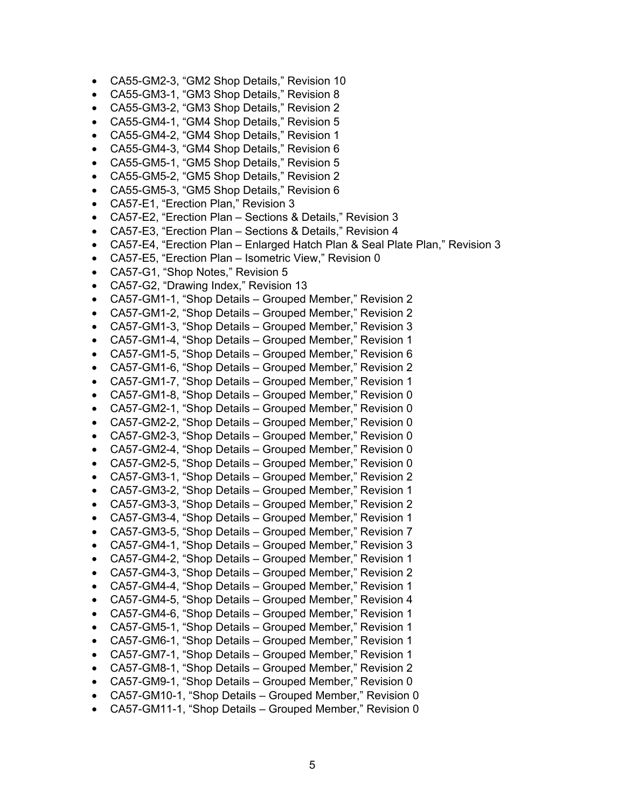- CA55-GM2-3, "GM2 Shop Details," Revision 10
- CA55-GM3-1, "GM3 Shop Details," Revision 8
- CA55-GM3-2, "GM3 Shop Details," Revision 2
- CA55-GM4-1, "GM4 Shop Details," Revision 5
- CA55-GM4-2, "GM4 Shop Details," Revision 1
- CA55-GM4-3, "GM4 Shop Details," Revision 6
- CA55-GM5-1, "GM5 Shop Details," Revision 5
- CA55-GM5-2, "GM5 Shop Details," Revision 2
- CA55-GM5-3, "GM5 Shop Details," Revision 6
- CA57-E1, "Erection Plan," Revision 3
- CA57-E2, "Erection Plan Sections & Details," Revision 3
- CA57-E3, "Erection Plan Sections & Details," Revision 4
- CA57-E4, "Erection Plan Enlarged Hatch Plan & Seal Plate Plan," Revision 3
- CA57-E5, "Erection Plan Isometric View," Revision 0
- CA57-G1, "Shop Notes," Revision 5
- CA57-G2, "Drawing Index," Revision 13
- CA57-GM1-1, "Shop Details Grouped Member," Revision 2
- CA57-GM1-2, "Shop Details Grouped Member," Revision 2
- CA57-GM1-3, "Shop Details Grouped Member," Revision 3
- CA57-GM1-4, "Shop Details Grouped Member," Revision 1
- CA57-GM1-5, "Shop Details Grouped Member," Revision 6
- CA57-GM1-6, "Shop Details Grouped Member," Revision 2
- CA57-GM1-7, "Shop Details Grouped Member," Revision 1
- CA57-GM1-8, "Shop Details Grouped Member," Revision 0
- CA57-GM2-1, "Shop Details Grouped Member," Revision 0
- CA57-GM2-2, "Shop Details Grouped Member," Revision 0
- CA57-GM2-3, "Shop Details Grouped Member," Revision 0
- CA57-GM2-4, "Shop Details Grouped Member," Revision 0
- CA57-GM2-5, "Shop Details Grouped Member," Revision 0
- CA57-GM3-1, "Shop Details Grouped Member," Revision 2 • CA57-GM3-2, "Shop Details – Grouped Member," Revision 1
- CA57-GM3-3, "Shop Details Grouped Member," Revision 2
- CA57-GM3-4, "Shop Details Grouped Member," Revision 1
- CA57-GM3-5, "Shop Details Grouped Member," Revision 7
- CA57-GM4-1, "Shop Details Grouped Member," Revision 3
- CA57-GM4-2, "Shop Details Grouped Member," Revision 1
- CA57-GM4-3, "Shop Details Grouped Member," Revision 2
- CA57-GM4-4, "Shop Details Grouped Member," Revision 1
- CA57-GM4-5, "Shop Details Grouped Member," Revision 4
- CA57-GM4-6, "Shop Details Grouped Member," Revision 1
- CA57-GM5-1, "Shop Details Grouped Member," Revision 1
- CA57-GM6-1, "Shop Details Grouped Member," Revision 1
- CA57-GM7-1, "Shop Details Grouped Member," Revision 1
- CA57-GM8-1, "Shop Details Grouped Member," Revision 2
- CA57-GM9-1, "Shop Details Grouped Member," Revision 0
- CA57-GM10-1, "Shop Details Grouped Member," Revision 0
- CA57-GM11-1, "Shop Details Grouped Member," Revision 0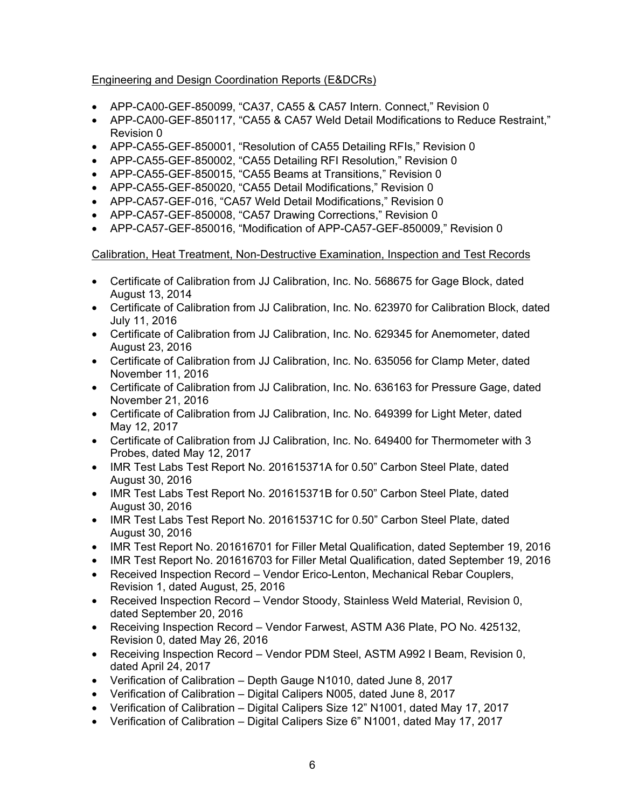# Engineering and Design Coordination Reports (E&DCRs)

- APP-CA00-GEF-850099, "CA37, CA55 & CA57 Intern. Connect," Revision 0
- APP-CA00-GEF-850117, "CA55 & CA57 Weld Detail Modifications to Reduce Restraint," Revision 0
- APP-CA55-GEF-850001, "Resolution of CA55 Detailing RFIs," Revision 0
- APP-CA55-GEF-850002, "CA55 Detailing RFI Resolution," Revision 0
- APP-CA55-GEF-850015, "CA55 Beams at Transitions," Revision 0
- APP-CA55-GEF-850020, "CA55 Detail Modifications," Revision 0
- APP-CA57-GEF-016, "CA57 Weld Detail Modifications," Revision 0
- APP-CA57-GEF-850008, "CA57 Drawing Corrections," Revision 0
- APP-CA57-GEF-850016, "Modification of APP-CA57-GEF-850009," Revision 0

## Calibration, Heat Treatment, Non-Destructive Examination, Inspection and Test Records

- Certificate of Calibration from JJ Calibration, Inc. No. 568675 for Gage Block, dated August 13, 2014
- Certificate of Calibration from JJ Calibration, Inc. No. 623970 for Calibration Block, dated July 11, 2016
- Certificate of Calibration from JJ Calibration, Inc. No. 629345 for Anemometer, dated August 23, 2016
- Certificate of Calibration from JJ Calibration, Inc. No. 635056 for Clamp Meter, dated November 11, 2016
- Certificate of Calibration from JJ Calibration, Inc. No. 636163 for Pressure Gage, dated November 21, 2016
- Certificate of Calibration from JJ Calibration, Inc. No. 649399 for Light Meter, dated May 12, 2017
- Certificate of Calibration from JJ Calibration, Inc. No. 649400 for Thermometer with 3 Probes, dated May 12, 2017
- IMR Test Labs Test Report No. 201615371A for 0.50" Carbon Steel Plate, dated August 30, 2016
- IMR Test Labs Test Report No. 201615371B for 0.50" Carbon Steel Plate, dated August 30, 2016
- IMR Test Labs Test Report No. 201615371C for 0.50" Carbon Steel Plate, dated August 30, 2016
- IMR Test Report No. 201616701 for Filler Metal Qualification, dated September 19, 2016
- IMR Test Report No. 201616703 for Filler Metal Qualification, dated September 19, 2016
- Received Inspection Record Vendor Erico-Lenton, Mechanical Rebar Couplers, Revision 1, dated August, 25, 2016
- Received Inspection Record Vendor Stoody, Stainless Weld Material, Revision 0, dated September 20, 2016
- Receiving Inspection Record Vendor Farwest, ASTM A36 Plate, PO No. 425132, Revision 0, dated May 26, 2016
- Receiving Inspection Record Vendor PDM Steel, ASTM A992 I Beam, Revision 0, dated April 24, 2017
- Verification of Calibration Depth Gauge N1010, dated June 8, 2017
- Verification of Calibration Digital Calipers N005, dated June 8, 2017
- Verification of Calibration Digital Calipers Size 12" N1001, dated May 17, 2017
- Verification of Calibration Digital Calipers Size 6" N1001, dated May 17, 2017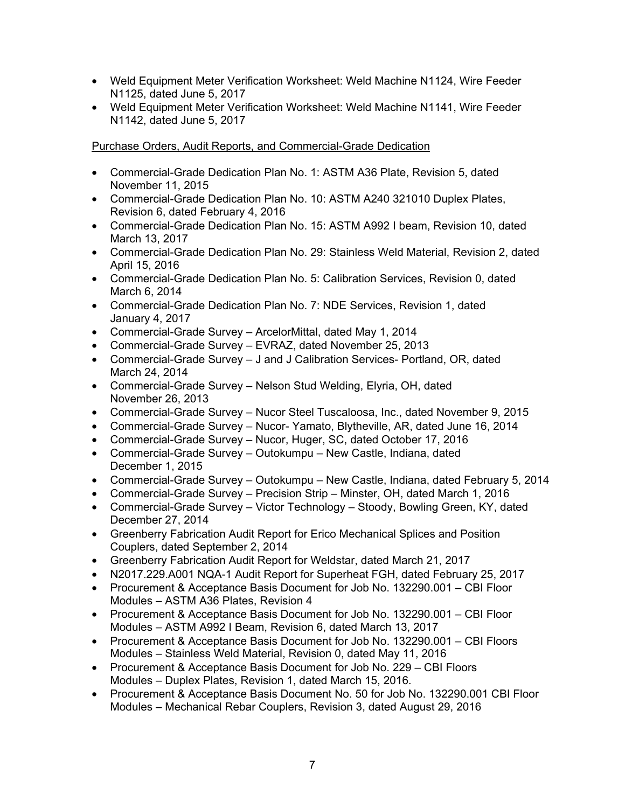- Weld Equipment Meter Verification Worksheet: Weld Machine N1124, Wire Feeder N1125, dated June 5, 2017
- Weld Equipment Meter Verification Worksheet: Weld Machine N1141, Wire Feeder N1142, dated June 5, 2017

# Purchase Orders, Audit Reports, and Commercial-Grade Dedication

- Commercial-Grade Dedication Plan No. 1: ASTM A36 Plate, Revision 5, dated November 11, 2015
- Commercial-Grade Dedication Plan No. 10: ASTM A240 321010 Duplex Plates, Revision 6, dated February 4, 2016
- Commercial-Grade Dedication Plan No. 15: ASTM A992 I beam, Revision 10, dated March 13, 2017
- Commercial-Grade Dedication Plan No. 29: Stainless Weld Material, Revision 2, dated April 15, 2016
- Commercial-Grade Dedication Plan No. 5: Calibration Services, Revision 0, dated March 6, 2014
- Commercial-Grade Dedication Plan No. 7: NDE Services, Revision 1, dated January 4, 2017
- Commercial-Grade Survey ArcelorMittal, dated May 1, 2014
- Commercial-Grade Survey EVRAZ, dated November 25, 2013
- Commercial-Grade Survey J and J Calibration Services- Portland, OR, dated March 24, 2014
- Commercial-Grade Survey Nelson Stud Welding, Elyria, OH, dated November 26, 2013
- Commercial-Grade Survey Nucor Steel Tuscaloosa, Inc., dated November 9, 2015
- Commercial-Grade Survey Nucor- Yamato, Blytheville, AR, dated June 16, 2014
- Commercial-Grade Survey Nucor, Huger, SC, dated October 17, 2016
- Commercial-Grade Survey Outokumpu New Castle, Indiana, dated December 1, 2015
- Commercial-Grade Survey Outokumpu New Castle, Indiana, dated February 5, 2014
- Commercial-Grade Survey Precision Strip Minster, OH, dated March 1, 2016
- Commercial-Grade Survey Victor Technology Stoody, Bowling Green, KY, dated December 27, 2014
- Greenberry Fabrication Audit Report for Erico Mechanical Splices and Position Couplers, dated September 2, 2014
- Greenberry Fabrication Audit Report for Weldstar, dated March 21, 2017
- N2017.229.A001 NQA-1 Audit Report for Superheat FGH, dated February 25, 2017
- Procurement & Acceptance Basis Document for Job No. 132290.001 CBI Floor Modules – ASTM A36 Plates, Revision 4
- Procurement & Acceptance Basis Document for Job No. 132290.001 CBI Floor Modules – ASTM A992 I Beam, Revision 6, dated March 13, 2017
- Procurement & Acceptance Basis Document for Job No. 132290.001 CBI Floors Modules – Stainless Weld Material, Revision 0, dated May 11, 2016
- Procurement & Acceptance Basis Document for Job No. 229 CBI Floors Modules – Duplex Plates, Revision 1, dated March 15, 2016.
- Procurement & Acceptance Basis Document No. 50 for Job No. 132290.001 CBI Floor Modules – Mechanical Rebar Couplers, Revision 3, dated August 29, 2016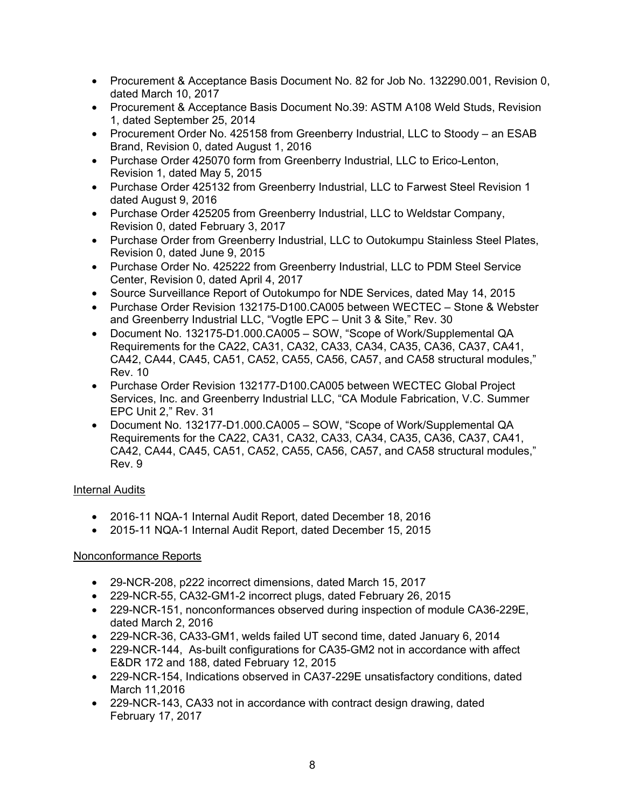- Procurement & Acceptance Basis Document No. 82 for Job No. 132290.001, Revision 0, dated March 10, 2017
- Procurement & Acceptance Basis Document No.39: ASTM A108 Weld Studs, Revision 1, dated September 25, 2014
- Procurement Order No. 425158 from Greenberry Industrial, LLC to Stoody an ESAB Brand, Revision 0, dated August 1, 2016
- Purchase Order 425070 form from Greenberry Industrial, LLC to Erico-Lenton, Revision 1, dated May 5, 2015
- Purchase Order 425132 from Greenberry Industrial, LLC to Farwest Steel Revision 1 dated August 9, 2016
- Purchase Order 425205 from Greenberry Industrial, LLC to Weldstar Company, Revision 0, dated February 3, 2017
- Purchase Order from Greenberry Industrial, LLC to Outokumpu Stainless Steel Plates, Revision 0, dated June 9, 2015
- Purchase Order No. 425222 from Greenberry Industrial, LLC to PDM Steel Service Center, Revision 0, dated April 4, 2017
- Source Surveillance Report of Outokumpo for NDE Services, dated May 14, 2015
- Purchase Order Revision 132175-D100.CA005 between WECTEC Stone & Webster and Greenberry Industrial LLC, "Vogtle EPC – Unit 3 & Site," Rev. 30
- Document No. 132175-D1.000.CA005 SOW, "Scope of Work/Supplemental QA Requirements for the CA22, CA31, CA32, CA33, CA34, CA35, CA36, CA37, CA41, CA42, CA44, CA45, CA51, CA52, CA55, CA56, CA57, and CA58 structural modules," Rev. 10
- Purchase Order Revision 132177-D100.CA005 between WECTEC Global Project Services, Inc. and Greenberry Industrial LLC, "CA Module Fabrication, V.C. Summer EPC Unit 2," Rev. 31
- Document No. 132177-D1.000.CA005 SOW, "Scope of Work/Supplemental QA Requirements for the CA22, CA31, CA32, CA33, CA34, CA35, CA36, CA37, CA41, CA42, CA44, CA45, CA51, CA52, CA55, CA56, CA57, and CA58 structural modules," Rev. 9

# Internal Audits

- 2016-11 NQA-1 Internal Audit Report, dated December 18, 2016
- 2015-11 NQA-1 Internal Audit Report, dated December 15, 2015

# Nonconformance Reports

- 29-NCR-208, p222 incorrect dimensions, dated March 15, 2017
- 229-NCR-55, CA32-GM1-2 incorrect plugs, dated February 26, 2015
- 229-NCR-151, nonconformances observed during inspection of module CA36-229E, dated March 2, 2016
- 229-NCR-36, CA33-GM1, welds failed UT second time, dated January 6, 2014
- 229-NCR-144, As-built configurations for CA35-GM2 not in accordance with affect E&DR 172 and 188, dated February 12, 2015
- 229-NCR-154, Indications observed in CA37-229E unsatisfactory conditions, dated March 11,2016
- 229-NCR-143, CA33 not in accordance with contract design drawing, dated February 17, 2017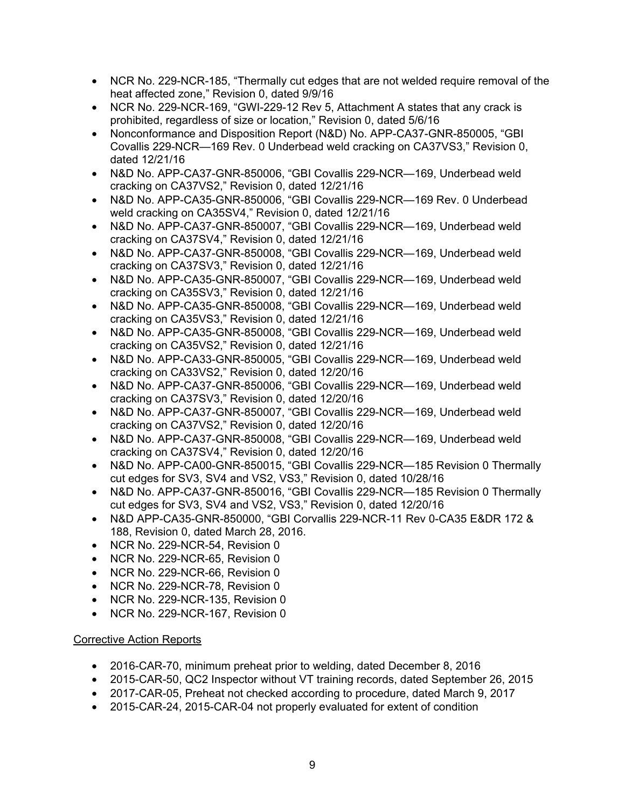- NCR No. 229-NCR-185, "Thermally cut edges that are not welded require removal of the heat affected zone," Revision 0, dated 9/9/16
- NCR No. 229-NCR-169, "GWI-229-12 Rev 5, Attachment A states that any crack is prohibited, regardless of size or location," Revision 0, dated 5/6/16
- Nonconformance and Disposition Report (N&D) No. APP-CA37-GNR-850005, "GBI Covallis 229-NCR—169 Rev. 0 Underbead weld cracking on CA37VS3," Revision 0, dated 12/21/16
- N&D No. APP-CA37-GNR-850006, "GBI Covallis 229-NCR—169, Underbead weld cracking on CA37VS2," Revision 0, dated 12/21/16
- N&D No. APP-CA35-GNR-850006, "GBI Covallis 229-NCR—169 Rev. 0 Underbead weld cracking on CA35SV4," Revision 0, dated 12/21/16
- N&D No. APP-CA37-GNR-850007, "GBI Covallis 229-NCR—169, Underbead weld cracking on CA37SV4," Revision 0, dated 12/21/16
- N&D No. APP-CA37-GNR-850008, "GBI Covallis 229-NCR—169, Underbead weld cracking on CA37SV3," Revision 0, dated 12/21/16
- N&D No. APP-CA35-GNR-850007, "GBI Covallis 229-NCR—169, Underbead weld cracking on CA35SV3," Revision 0, dated 12/21/16
- N&D No. APP-CA35-GNR-850008, "GBI Covallis 229-NCR—169, Underbead weld cracking on CA35VS3," Revision 0, dated 12/21/16
- N&D No. APP-CA35-GNR-850008, "GBI Covallis 229-NCR—169, Underbead weld cracking on CA35VS2," Revision 0, dated 12/21/16
- N&D No. APP-CA33-GNR-850005, "GBI Covallis 229-NCR—169, Underbead weld cracking on CA33VS2," Revision 0, dated 12/20/16
- N&D No. APP-CA37-GNR-850006, "GBI Covallis 229-NCR—169, Underbead weld cracking on CA37SV3," Revision 0, dated 12/20/16
- N&D No. APP-CA37-GNR-850007, "GBI Covallis 229-NCR—169, Underbead weld cracking on CA37VS2," Revision 0, dated 12/20/16
- N&D No. APP-CA37-GNR-850008, "GBI Covallis 229-NCR—169, Underbead weld cracking on CA37SV4," Revision 0, dated 12/20/16
- N&D No. APP-CA00-GNR-850015, "GBI Covallis 229-NCR—185 Revision 0 Thermally cut edges for SV3, SV4 and VS2, VS3," Revision 0, dated 10/28/16
- N&D No. APP-CA37-GNR-850016, "GBI Covallis 229-NCR—185 Revision 0 Thermally cut edges for SV3, SV4 and VS2, VS3," Revision 0, dated 12/20/16
- N&D APP-CA35-GNR-850000, "GBI Corvallis 229-NCR-11 Rev 0-CA35 E&DR 172 & 188, Revision 0, dated March 28, 2016.
- NCR No. 229-NCR-54, Revision 0
- NCR No. 229-NCR-65, Revision 0
- NCR No. 229-NCR-66, Revision 0
- NCR No. 229-NCR-78, Revision 0
- NCR No. 229-NCR-135, Revision 0
- NCR No. 229-NCR-167, Revision 0

## Corrective Action Reports

- 2016-CAR-70, minimum preheat prior to welding, dated December 8, 2016
- 2015-CAR-50, QC2 Inspector without VT training records, dated September 26, 2015
- 2017-CAR-05, Preheat not checked according to procedure, dated March 9, 2017
- 2015-CAR-24, 2015-CAR-04 not properly evaluated for extent of condition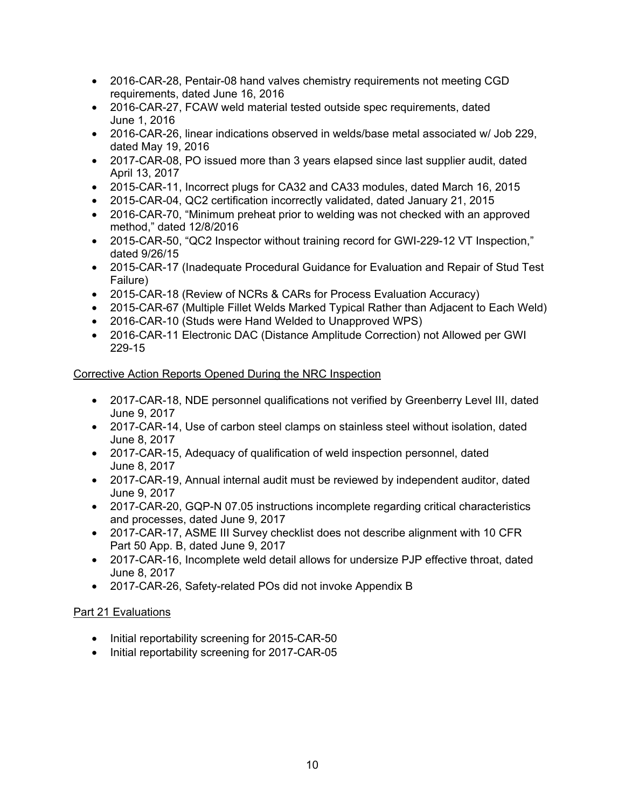- 2016-CAR-28, Pentair-08 hand valves chemistry requirements not meeting CGD requirements, dated June 16, 2016
- 2016-CAR-27, FCAW weld material tested outside spec requirements, dated June 1, 2016
- 2016-CAR-26, linear indications observed in welds/base metal associated w/ Job 229, dated May 19, 2016
- 2017-CAR-08, PO issued more than 3 years elapsed since last supplier audit, dated April 13, 2017
- 2015-CAR-11, Incorrect plugs for CA32 and CA33 modules, dated March 16, 2015
- 2015-CAR-04, QC2 certification incorrectly validated, dated January 21, 2015
- 2016-CAR-70, "Minimum preheat prior to welding was not checked with an approved method," dated 12/8/2016
- 2015-CAR-50, "QC2 Inspector without training record for GWI-229-12 VT Inspection," dated 9/26/15
- 2015-CAR-17 (Inadequate Procedural Guidance for Evaluation and Repair of Stud Test Failure)
- 2015-CAR-18 (Review of NCRs & CARs for Process Evaluation Accuracy)
- 2015-CAR-67 (Multiple Fillet Welds Marked Typical Rather than Adjacent to Each Weld)
- 2016-CAR-10 (Studs were Hand Welded to Unapproved WPS)
- 2016-CAR-11 Electronic DAC (Distance Amplitude Correction) not Allowed per GWI 229-15

# Corrective Action Reports Opened During the NRC Inspection

- 2017-CAR-18, NDE personnel qualifications not verified by Greenberry Level III, dated June 9, 2017
- 2017-CAR-14, Use of carbon steel clamps on stainless steel without isolation, dated June 8, 2017
- 2017-CAR-15, Adequacy of qualification of weld inspection personnel, dated June 8, 2017
- 2017-CAR-19, Annual internal audit must be reviewed by independent auditor, dated June 9, 2017
- 2017-CAR-20, GQP-N 07.05 instructions incomplete regarding critical characteristics and processes, dated June 9, 2017
- 2017-CAR-17, ASME III Survey checklist does not describe alignment with 10 CFR Part 50 App. B, dated June 9, 2017
- 2017-CAR-16, Incomplete weld detail allows for undersize PJP effective throat, dated June 8, 2017
- 2017-CAR-26, Safety-related POs did not invoke Appendix B

# Part 21 Evaluations

- Initial reportability screening for 2015-CAR-50
- Initial reportability screening for 2017-CAR-05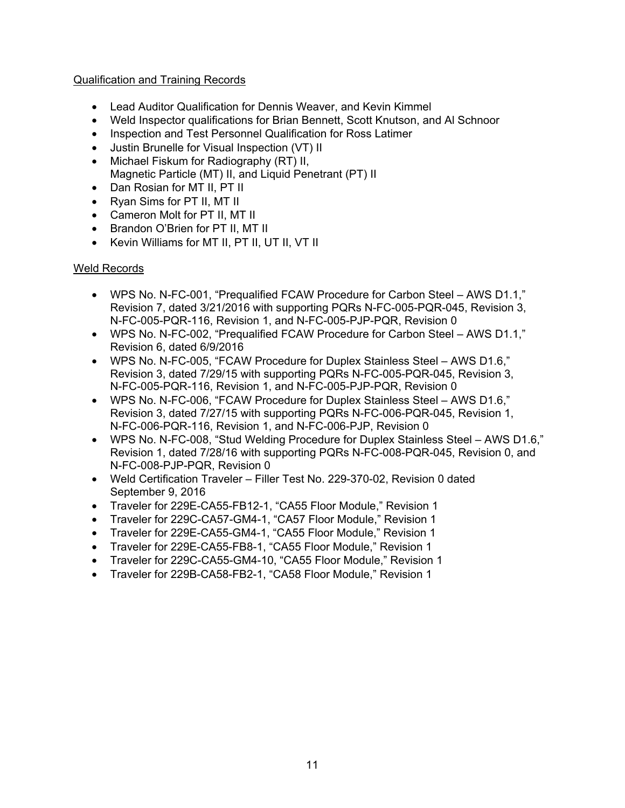# Qualification and Training Records

- Lead Auditor Qualification for Dennis Weaver, and Kevin Kimmel
- Weld Inspector qualifications for Brian Bennett, Scott Knutson, and Al Schnoor
- Inspection and Test Personnel Qualification for Ross Latimer
- Justin Brunelle for Visual Inspection (VT) II
- Michael Fiskum for Radiography (RT) II, Magnetic Particle (MT) II, and Liquid Penetrant (PT) II
- Dan Rosian for MT II, PT II
- Ryan Sims for PT II, MT II
- Cameron Molt for PT II, MT II
- Brandon O'Brien for PT II, MT II
- Kevin Williams for MT II, PT II, UT II, VT II

## Weld Records

- WPS No. N-FC-001, "Prequalified FCAW Procedure for Carbon Steel AWS D1.1," Revision 7, dated 3/21/2016 with supporting PQRs N-FC-005-PQR-045, Revision 3, N-FC-005-PQR-116, Revision 1, and N-FC-005-PJP-PQR, Revision 0
- WPS No. N-FC-002, "Prequalified FCAW Procedure for Carbon Steel AWS D1.1," Revision 6, dated 6/9/2016
- WPS No. N-FC-005, "FCAW Procedure for Duplex Stainless Steel AWS D1.6," Revision 3, dated 7/29/15 with supporting PQRs N-FC-005-PQR-045, Revision 3, N-FC-005-PQR-116, Revision 1, and N-FC-005-PJP-PQR, Revision 0
- WPS No. N-FC-006, "FCAW Procedure for Duplex Stainless Steel AWS D1.6," Revision 3, dated 7/27/15 with supporting PQRs N-FC-006-PQR-045, Revision 1, N-FC-006-PQR-116, Revision 1, and N-FC-006-PJP, Revision 0
- WPS No. N-FC-008, "Stud Welding Procedure for Duplex Stainless Steel AWS D1.6," Revision 1, dated 7/28/16 with supporting PQRs N-FC-008-PQR-045, Revision 0, and N-FC-008-PJP-PQR, Revision 0
- Weld Certification Traveler Filler Test No. 229-370-02, Revision 0 dated September 9, 2016
- Traveler for 229E-CA55-FB12-1, "CA55 Floor Module," Revision 1
- Traveler for 229C-CA57-GM4-1, "CA57 Floor Module," Revision 1
- Traveler for 229E-CA55-GM4-1, "CA55 Floor Module," Revision 1
- Traveler for 229E-CA55-FB8-1, "CA55 Floor Module," Revision 1
- Traveler for 229C-CA55-GM4-10, "CA55 Floor Module," Revision 1
- Traveler for 229B-CA58-FB2-1, "CA58 Floor Module," Revision 1